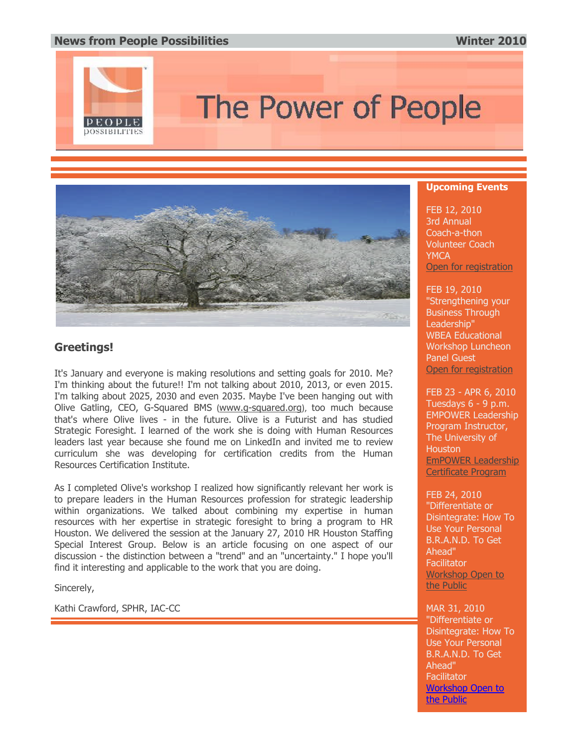### **Ne[ws from People Possibilities](http://rs6.net/tn.jsp?et=1102982538720&s=89&e=001llcg_ilXPjQIMo-vlYi-vo7TOdu_nTRUfWXSmTBj5txxo2WFIg9NiUM35kX0va0Ys8b-1nInIWmBHwZo19pHhGC_jtrKfb11lbYkg0-z63CljySOI2jOeYescVesY_kM) Winter 2010**



# The Power of People



## **Greetings!**

It's January and everyone is making resolutions and setting goals for 2010. Me? I'm thinking about the future!! I'm not talking about 2010, 2013, or even 2015. I'm talking about 2025, 2030 and even 2035. Maybe I've been hanging out with Olive Gatling, CEO, G-Squared BMS (www.g-squared.org), too much because that's where Olive lives - in the future. Olive is a Futurist and has studied Strategic Foresight. I learned of the work she is doing with Human Resources leaders last year because she found me on LinkedIn and invited me to review curriculum she was developing for certification credits from the Human Resources Certification Institute.

As I completed Olive's workshop I realized how significantly relevant her work is to prepare leaders in the Human Resources profession for strategic leadership within organizations. We talked about combining my expertise in human resources with her expertise in strategic foresight to bring a program to HR Houston. We delivered the session at the January 27, 2010 HR Houston Staffing Special Interest Group. Below is an article focusing on one aspect of our discussion - the distinction between a "trend" and an "uncertainty." I hope you'll find it interesting and applicable to the work that you are doing.

Sincerely,

Kathi Crawford, SPHR, IAC-CC

#### **[Upcoming Events](http://rs6.net/tn.jsp?et=1102982538720&s=89&e=001llcg_ilXPjQaFB_PljIoZKa0vRiBuLNkOztDJfou_7Nq0_QGTRXyT3yL-F8L__DQizFqB5dhG4l2vKgk4VTR10nwrdTnBDWrkPw2nKhbPf4=)**

FEB 12, 2010 3rd Annual Coach-a-thon Volunteer Coach **YMCA** Open for registration

[FEB 19, 2010](http://rs6.net/tn.jsp?t=apzdohdab.0.8zzhohdab.eh6urvcab.89&ts=S0454&p=http%3A%2F%2Fwww.uh.edu%2Fcontinuingeducation%2Fempower%2Fcert-coaching-tools.php) "Strengthening your Business Through Leadership" WBEA Educational Workshop Luncheon Panel Guest Open for registration

FEB 23 - APR 6, 2010 [Tuesdays](http://rs6.net/tn.jsp?t=apzdohdab.0.7zzhohdab.eh6urvcab.89&ts=S0454&p=http%3A%2F%2Fpeoplepossibilities7.eventbrite.com%2F) 6 - 9 p.m. EMPOWER Leadership Program Instructor, The University of **Houston** EmPOWER Leadership Certificate Program

FEB 24, 2010 "Differentiate or [Disintegra](http://rs6.net/tn.jsp?t=apzdohdab.0.6zzhohdab.eh6urvcab.89&ts=S0454&p=http%3A%2F%2Fpeoplepossibilities8.eventbrite.com%2F)te: How To Use Your Personal B.R.A.N.D. To Get Ahead" **Facilitator** Workshop Open to the Public

MAR 31, 2010 "Differentiate or Disintegrate: How To Use Your Personal B.R.A.N.D. To Get Ahead" **Facilitator** Workshop Open to the Public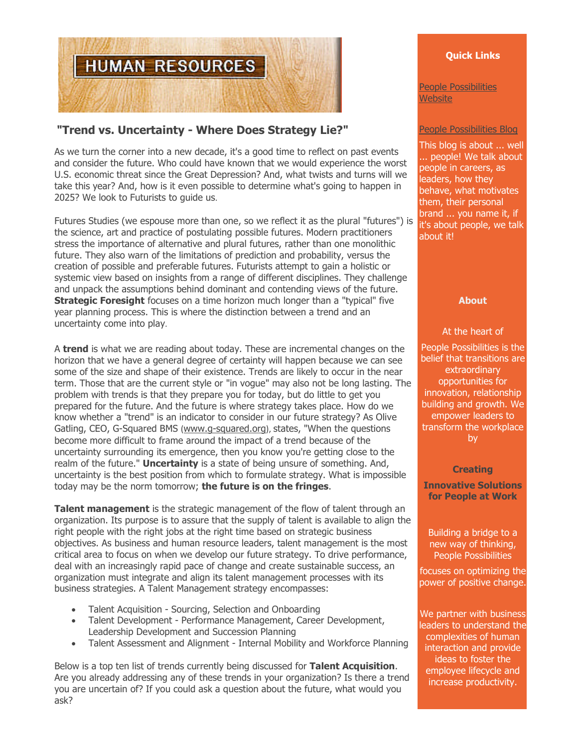

# **"Trend vs. Uncertainty - Where Does Strategy Lie?"**

As we turn the corner into a new decade, it's a good time to reflect on past events and consider the future. Who could have known that we would experience the worst U.S. economic threat since the Great Depression? And, what twists and turns will we take this year? And, how is it even possible to determine what's going to happen in 2025? We look to Futurists to guide us.

Futures Studies (we espouse more than one, so we reflect it as the plural "futures") is the science, art and practice of postulating possible futures. Modern practitioners stress the importance of alternative and plural futures, rather than one monolithic future. They also warn of the limitations of prediction and probability, versus the creation of possible and preferable futures. Futurists attempt to gain a holistic or systemic view based on insights from a range of different disciplines. They challenge and unpack the assumptions behind dominant and contending views of the future. **Strategic Foresight** focuses on a time horizon much longer than a "typical" five year planning process. This is where the distinction between a trend and an uncertainty come into play.

A **trend** is what we are reading about today. These are incremental changes on the horizon that we have a general degree of certainty will happen because we can see some of the size and shape of their existence. Trends are likely to occur in the near term. Those that are the current style or "in vogue" may also not be long lasting. The problem with trends is that they prepare you for today, but do little to get you prepared for the future. And the future is where strategy takes place. How do we know whether a "trend" is an indicator to consider in our future strategy? As Olive Gatling, CEO, G-Squared BMS ([www.g-squared.org](http://rs6.net/tn.jsp?et=1102982538720&s=89&e=001llcg_ilXPjT7B6CRx6GgtnFvAWLlGfDpVCQk79YrjFdB6mCjPyYNNmU7O2j-4O4vRpzUabRecaHSPfBjLh8P4Y-lKaf70VCzlhJUyha4Yl5cxupup3snWw==)), states, "When the questions become more difficult to frame around the impact of a trend because of the uncertainty surrounding its emergence, then you know you're getting close to the realm of the future." **Uncertainty** is a state of being unsure of something. And, uncertainty is the best position from which to formulate strategy. What is impossible today may be the norm tomorrow; **the future is on the fringes**.

**Talent management** is the strategic management of the flow of talent through an organization. Its purpose is to assure that the supply of talent is available to align the right people with the right jobs at the right time based on strategic business objectives. As business and human resource leaders, talent management is the most critical area to focus on when we develop our future strategy. To drive performance, deal with an increasingly rapid pace of change and create sustainable success, an organization must integrate and align its talent management processes with its business strategies. A Talent Management strategy encompasses:

- Talent Acquisition Sourcing, Selection and Onboarding
- Talent Development Performance Management, Career Development, Leadership Development and Succession Planning
- Talent Assessment and Alignment Internal Mobility and Workforce Planning

Below is a top ten list of trends currently being discussed for **Talent Acquisition**. Are you already addressing any of these trends in your organization? Is there a trend you are uncertain of? If you could ask a question about the future, what would you ask?

#### **Quick Links**

[People Po](http://rs6.net/tn.jsp?t=apzdohdab.0.eotnf6cab.eh6urvcab.89&ts=S0454&p=http%3A%2F%2Fwww.peoplepossibilities.com%2Findex.html)ssibilities Website

#### [People Possibilities Blog](http://rs6.net/tn.jsp?t=apzdohdab.0.fotnf6cab.eh6urvcab.89&ts=S0454&p=http%3A%2F%2Fpeoplepossibilities.com%2Fblog%2F)

This blog is about ... well ... people! We talk about people in careers, as leaders, how they behave, what motivates them, their personal brand ... you name it, if it's about people, we talk about it!

#### **About**

#### At the heart of

People Possibilities is the belief that transitions are extraordinary opportunities for innovation, relationship building and growth. We empower leaders to transform the workplace by

**Creating**

**Innovative Solutions for People at Work**

Building a bridge to a new way of thinking, People Possibilities

focuses on optimizing the power of positive change.

We partner with business leaders to understand the complexities of human interaction and provide ideas to foster the employee lifecycle and increase productivity.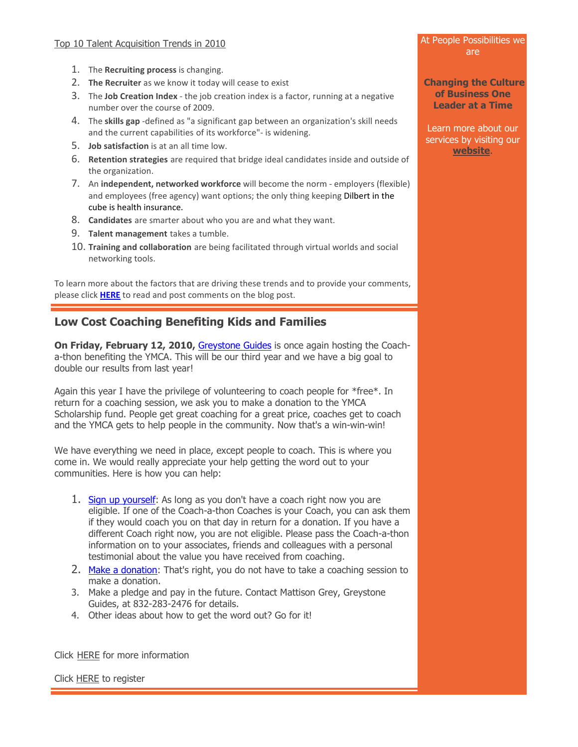- 1. The **Recruiting process** is changing.
- 2. **The Recruiter** as we know it today will cease to exist
- 3. The **Job Creation Index** the job creation index is a factor, running at a negative number over the course of 2009.
- 4. The **skills gap** -defined as "a significant gap between an organization's skill needs and the current capabilities of its workforce"- is widening.
- 5. **Job satisfaction** is at an all time low.
- 6. **Retention strategies** are required that bridge ideal candidates inside and outside of the organization.
- 7. An **independent, networked workforce** will become the norm employers (flexible) and employees (free agency) want options; the only thing keeping Dilbert in the cube is health insurance.
- 8. **Candidates** are smarter about who you are and what they want.
- 9. **Talent management** takes a tumble.
- 10. **Training and collaboration** are being facilitated through virtual worlds and social networking tools.

To learn more about the factors that are driving these trends and to provide your comments, please click **[HERE](http://rs6.net/tn.jsp?et=1102982538720&s=89&e=001llcg_ilXPjTNE6ZB8ptKAifPQtw975mPO1MOfYceFbQM_v9uqZLVCf68KrGbn3n2hDMca19eLsytKe01Pvxy-n6IRh6iLEXs3cdubrfPszqx1hAUufnj4X3pc4X17FK6SyYqDxOD87s=)** to read and post comments on the blog post.

# **Low Cost Coaching Benefiting Kids and Families**

**On Friday, February 12, 2010,** [Greystone Guides](http://rs6.net/tn.jsp?et=1102982538720&s=89&e=001llcg_ilXPjQh3L_0PK7MLvg-G5HEOc-EDzFbSCITv37Ptai1eltNqiYQN_adD1HwYqk6aWEpQAXnULCyx_1u1y4fmOaaCS7_X-iKCV7tMtvQho5RjJ0zDA==) is once again hosting the Coacha-thon benefiting the YMCA. This will be our third year and we have a big goal to double our results from last year!

Again this year I have the privilege of volunteering to coach people for \*free\*. In return for a coaching session, we ask you to make a donation to the YMCA Scholarship fund. People get great coaching for a great price, coaches get to coach and the YMCA gets to help people in the community. Now that's a win-win-win!

We have everything we need in place, except people to coach. This is where you come in. We would really appreciate your help getting the word out to your communities. Here is how you can help:

- 1. [Sign up yourself:](http://rs6.net/tn.jsp?et=1102982538720&s=89&e=001llcg_ilXPjS5S-RLdvjD-uvDIluro-bowTtjIRrR_baTm3TlIyHkwNtMhyalGuhwzFYITE0T-3G_7bnyOHi1WL-HwyT9HTwAHu1T6i9tI6-YBPPEfvrpnA==) As long as you don't have a coach right now you are eligible. If one of the Coach-a-thon Coaches is your Coach, you can ask them if they would coach you on that day in return for a donation. If you have a different Coach right now, you are not eligible. Please pass the Coach-a-thon information on to your associates, friends and colleagues with a personal testimonial about the value you have received from coaching.
- 2. [Make a donation:](http://rs6.net/tn.jsp?et=1102982538720&s=89&e=001llcg_ilXPjQkpaArARW8C8-1z-c3HLyZOS82_EgLJm08OeFSj3TnPW7at1UfpqE_S6z0wAyEylLg9WgOspBrw5Vh43zjtSVsS09loAAEYDMReoUeBGkpwfCsPJS2wRAgVKcBLP5sHUmJMUc4z4beNg==) That's right, you do not have to take a coaching session to make a donation.
- 3. Make a pledge and pay in the future. Contact Mattison Grey, Greystone Guides, at 832-283-2476 for details.
- 4. Other ideas about how to get the word out? Go for it!

Click [HERE](http://rs6.net/tn.jsp?et=1102982538720&s=89&e=001llcg_ilXPjTFzdkcQADpaLcgOuD_as5ZMJlzJV6xkgTGDmaLKUb29-NvwbThK0MkOYi-89p8TtMkkUXGFanF7HpylzjklZFpGUEryIuy-SBnOKdz3t6rp72on9gJGbgb) for more information

Click [HERE](http://rs6.net/tn.jsp?et=1102982538720&s=89&e=001llcg_ilXPjS5S-RLdvjD-uvDIluro-bowTtjIRrR_baTm3TlIyHkwNtMhyalGuhwzFYITE0T-3G_7bnyOHi1WL-HwyT9HTwAHu1T6i9tI6-YBPPEfvrpnA==) to register

#### At People Possibilities we are

**Changing the Culture of Business One Leader at a Time**

Learn more about our services by visiting our **[website](http://rs6.net/tn.jsp?t=apzdohdab.0.trqhxvcab.eh6urvcab.89&ts=S0454&p=http%3A%2F%2Fwww.peoplepossibilities.com%2F)**.